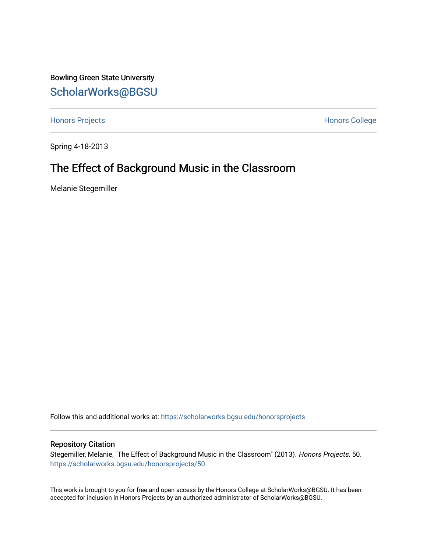Bowling Green State University [ScholarWorks@BGSU](https://scholarworks.bgsu.edu/) 

[Honors Projects](https://scholarworks.bgsu.edu/honorsprojects) **Honors** College

Spring 4-18-2013

# The Effect of Background Music in the Classroom

Melanie Stegemiller

Follow this and additional works at: [https://scholarworks.bgsu.edu/honorsprojects](https://scholarworks.bgsu.edu/honorsprojects?utm_source=scholarworks.bgsu.edu%2Fhonorsprojects%2F50&utm_medium=PDF&utm_campaign=PDFCoverPages) 

# Repository Citation

Stegemiller, Melanie, "The Effect of Background Music in the Classroom" (2013). Honors Projects. 50. [https://scholarworks.bgsu.edu/honorsprojects/50](https://scholarworks.bgsu.edu/honorsprojects/50?utm_source=scholarworks.bgsu.edu%2Fhonorsprojects%2F50&utm_medium=PDF&utm_campaign=PDFCoverPages)

This work is brought to you for free and open access by the Honors College at ScholarWorks@BGSU. It has been accepted for inclusion in Honors Projects by an authorized administrator of ScholarWorks@BGSU.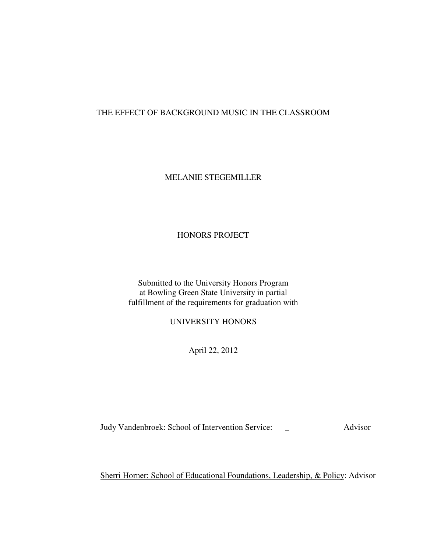# THE EFFECT OF BACKGROUND MUSIC IN THE CLASSROOM

# MELANIE STEGEMILLER

# HONORS PROJECT

Submitted to the University Honors Program at Bowling Green State University in partial fulfillment of the requirements for graduation with

UNIVERSITY HONORS

April 22, 2012

Judy Vandenbroek: School of Intervention Service: \_ Advisor

Sherri Horner: School of Educational Foundations, Leadership, & Policy: Advisor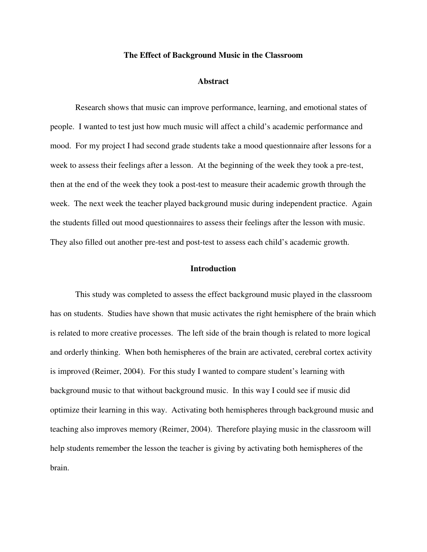#### **The Effect of Background Music in the Classroom**

#### **Abstract**

Research shows that music can improve performance, learning, and emotional states of people. I wanted to test just how much music will affect a child's academic performance and mood. For my project I had second grade students take a mood questionnaire after lessons for a week to assess their feelings after a lesson. At the beginning of the week they took a pre-test, then at the end of the week they took a post-test to measure their academic growth through the week. The next week the teacher played background music during independent practice. Again the students filled out mood questionnaires to assess their feelings after the lesson with music. They also filled out another pre-test and post-test to assess each child's academic growth.

### **Introduction**

 This study was completed to assess the effect background music played in the classroom has on students. Studies have shown that music activates the right hemisphere of the brain which is related to more creative processes. The left side of the brain though is related to more logical and orderly thinking. When both hemispheres of the brain are activated, cerebral cortex activity is improved (Reimer, 2004). For this study I wanted to compare student's learning with background music to that without background music. In this way I could see if music did optimize their learning in this way. Activating both hemispheres through background music and teaching also improves memory (Reimer, 2004). Therefore playing music in the classroom will help students remember the lesson the teacher is giving by activating both hemispheres of the brain.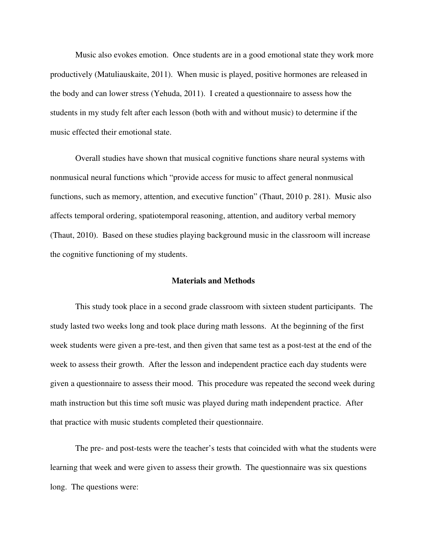Music also evokes emotion. Once students are in a good emotional state they work more productively (Matuliauskaite, 2011). When music is played, positive hormones are released in the body and can lower stress (Yehuda, 2011). I created a questionnaire to assess how the students in my study felt after each lesson (both with and without music) to determine if the music effected their emotional state.

Overall studies have shown that musical cognitive functions share neural systems with nonmusical neural functions which "provide access for music to affect general nonmusical functions, such as memory, attention, and executive function" (Thaut, 2010 p. 281). Music also affects temporal ordering, spatiotemporal reasoning, attention, and auditory verbal memory (Thaut, 2010). Based on these studies playing background music in the classroom will increase the cognitive functioning of my students.

### **Materials and Methods**

 This study took place in a second grade classroom with sixteen student participants. The study lasted two weeks long and took place during math lessons. At the beginning of the first week students were given a pre-test, and then given that same test as a post-test at the end of the week to assess their growth. After the lesson and independent practice each day students were given a questionnaire to assess their mood. This procedure was repeated the second week during math instruction but this time soft music was played during math independent practice. After that practice with music students completed their questionnaire.

 The pre- and post-tests were the teacher's tests that coincided with what the students were learning that week and were given to assess their growth. The questionnaire was six questions long. The questions were: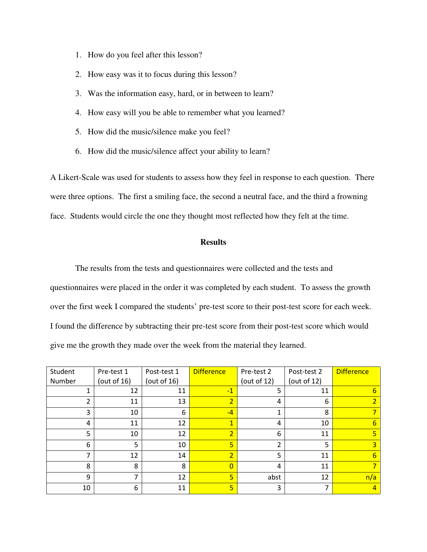- 1. How do you feel after this lesson?
- 2. How easy was it to focus during this lesson?
- 3. Was the information easy, hard, or in between to learn?
- 4. How easy will you be able to remember what you learned?
- 5. How did the music/silence make you feel?
- 6. How did the music/silence affect your ability to learn?

A Likert-Scale was used for students to assess how they feel in response to each question. There were three options. The first a smiling face, the second a neutral face, and the third a frowning face. Students would circle the one they thought most reflected how they felt at the time.

# **Results**

 The results from the tests and questionnaires were collected and the tests and questionnaires were placed in the order it was completed by each student. To assess the growth over the first week I compared the students' pre-test score to their post-test score for each week. I found the difference by subtracting their pre-test score from their post-test score which would give me the growth they made over the week from the material they learned.

| Student | Pre-test 1     | Post-test 1 | <b>Difference</b> | Pre-test 2     | Post-test 2    | <b>Difference</b> |
|---------|----------------|-------------|-------------------|----------------|----------------|-------------------|
| Number  | (out of $16$ ) | (out of 16) |                   | (out of $12$ ) | (out of $12$ ) |                   |
|         | 12             | 11          | $-1$              | 5              | 11             | b                 |
|         | 11             | 13          | $\overline{2}$    | 4              | 6              |                   |
| 3       | 10             | 6           | $-4$              | 1              | 8              |                   |
| 4       | 11             | 12          | $\mathbf{1}$      | 4              | 10             | 6                 |
| 5       | 10             | 12          | $\overline{2}$    | 6              | 11             |                   |
| 6       | 5              | 10          | 5                 | $\overline{2}$ | 5              |                   |
| ⇁       | 12             | 14          | $\overline{2}$    | 5              | 11             | 6                 |
| 8       | 8              | 8           | $\Omega$          | 4              | 11             |                   |
| 9       | 7              | 12          | 5                 | abst           | 12             | n/a               |
| 10      | 6              | 11          | 5 <sup>1</sup>    | 3              |                | $\overline{a}$    |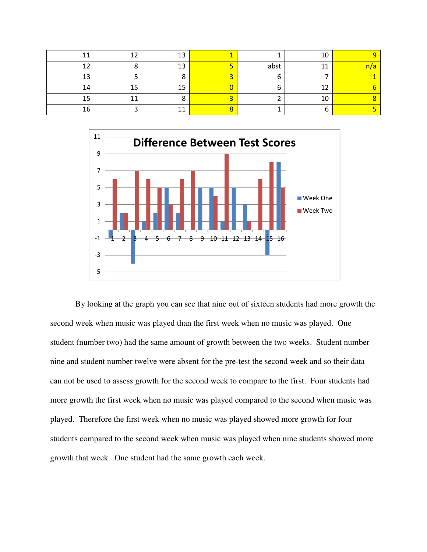|     | 12 |    |  |
|-----|----|----|--|
|     | 13 | ab |  |
| 1 า |    |    |  |
| L 4 |    |    |  |
|     |    |    |  |
|     |    |    |  |



By looking at the graph you can see that nine out of sixteen students had more growth the second week when music was played than the first week when no music was played. One student (number two) had the same amount of growth between the two weeks. Student number nine and student number twelve were absent for the pre-test the second week and so their data can not be used to assess growth for the second week to compare to the first. Four students had more growth the first week when no music was played compared to the second when music was played. Therefore the first week when no music was played showed more growth for four students compared to the second week when music was played when nine students showed more growth that week. One student had the same growth each week.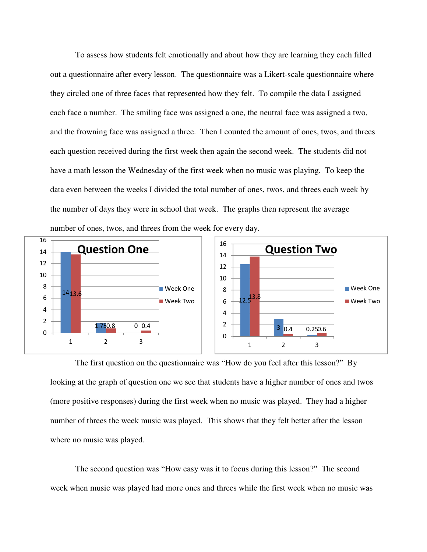To assess how students felt emotionally and about how they are learning they each filled out a questionnaire after every lesson. The questionnaire was a Likert-scale questionnaire where they circled one of three faces that represented how they felt. To compile the data I assigned each face a number. The smiling face was assigned a one, the neutral face was assigned a two, and the frowning face was assigned a three. Then I counted the amount of ones, twos, and threes each question received during the first week then again the second week. The students did not have a math lesson the Wednesday of the first week when no music was playing. To keep the data even between the weeks I divided the total number of ones, twos, and threes each week by the number of days they were in school that week. The graphs then represent the average number of ones, twos, and threes from the week for every day.



The first question on the questionnaire was "How do you feel after this lesson?" By looking at the graph of question one we see that students have a higher number of ones and twos (more positive responses) during the first week when no music was played. They had a higher number of threes the week music was played. This shows that they felt better after the lesson where no music was played.

The second question was "How easy was it to focus during this lesson?" The second week when music was played had more ones and threes while the first week when no music was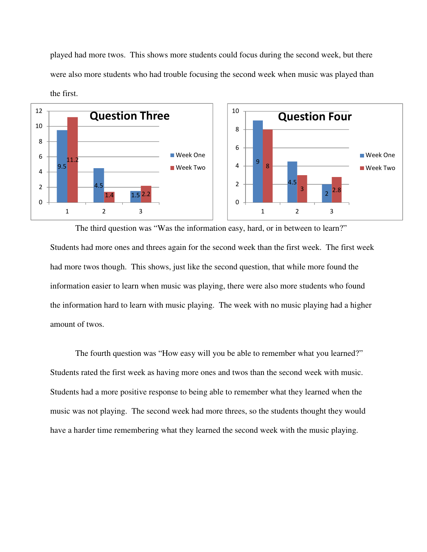played had more twos. This shows more students could focus during the second week, but there were also more students who had trouble focusing the second week when music was played than the first.



The third question was "Was the information easy, hard, or in between to learn?" Students had more ones and threes again for the second week than the first week. The first week had more twos though. This shows, just like the second question, that while more found the information easier to learn when music was playing, there were also more students who found the information hard to learn with music playing. The week with no music playing had a higher amount of twos.

The fourth question was "How easy will you be able to remember what you learned?" Students rated the first week as having more ones and twos than the second week with music. Students had a more positive response to being able to remember what they learned when the music was not playing. The second week had more threes, so the students thought they would have a harder time remembering what they learned the second week with the music playing.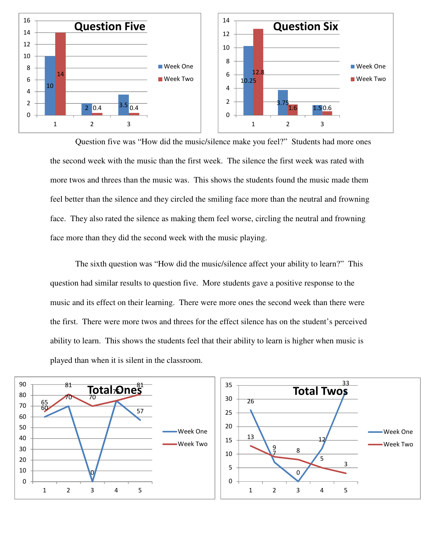

 Question five was "How did the music/silence make you feel?" Students had more ones the second week with the music than the first week. The silence the first week was rated with more twos and threes than the music was. This shows the students found the music made them feel better than the silence and they circled the smiling face more than the neutral and frowning face. They also rated the silence as making them feel worse, circling the neutral and frowning face more than they did the second week with the music playing.

The sixth question was "How did the music/silence affect your ability to learn?" This question had similar results to question five. More students gave a positive response to the music and its effect on their learning. There were more ones the second week than there were the first. There were more twos and threes for the effect silence has on the student's perceived ability to learn. This shows the students feel that their ability to learn is higher when music is played than when it is silent in the classroom.

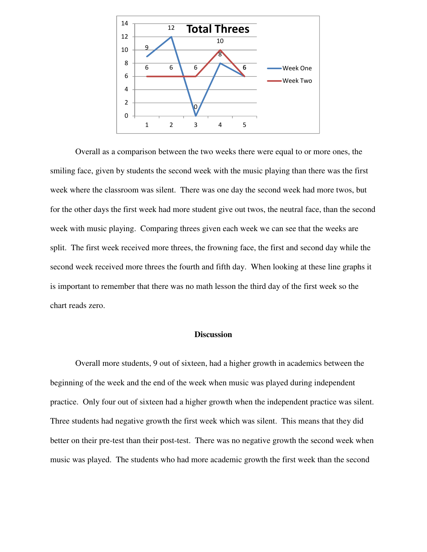

Overall as a comparison between the two weeks there were equal to or more ones, the smiling face, given by students the second week with the music playing than there was the first week where the classroom was silent. There was one day the second week had more twos, but for the other days the first week had more student give out twos, the neutral face, than the second week with music playing. Comparing threes given each week we can see that the weeks are split. The first week received more threes, the frowning face, the first and second day while the second week received more threes the fourth and fifth day. When looking at these line graphs it is important to remember that there was no math lesson the third day of the first week so the chart reads zero.

# **Discussion**

Overall more students, 9 out of sixteen, had a higher growth in academics between the beginning of the week and the end of the week when music was played during independent practice. Only four out of sixteen had a higher growth when the independent practice was silent. Three students had negative growth the first week which was silent. This means that they did better on their pre-test than their post-test. There was no negative growth the second week when music was played. The students who had more academic growth the first week than the second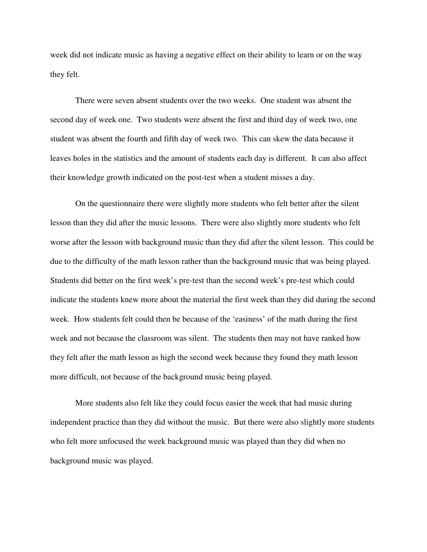week did not indicate music as having a negative effect on their ability to learn or on the way they felt.

There were seven absent students over the two weeks. One student was absent the second day of week one. Two students were absent the first and third day of week two, one student was absent the fourth and fifth day of week two. This can skew the data because it leaves holes in the statistics and the amount of students each day is different. It can also affect their knowledge growth indicated on the post-test when a student misses a day.

On the questionnaire there were slightly more students who felt better after the silent lesson than they did after the music lessons. There were also slightly more students who felt worse after the lesson with background music than they did after the silent lesson. This could be due to the difficulty of the math lesson rather than the background music that was being played. Students did better on the first week's pre-test than the second week's pre-test which could indicate the students knew more about the material the first week than they did during the second week. How students felt could then be because of the 'easiness' of the math during the first week and not because the classroom was silent. The students then may not have ranked how they felt after the math lesson as high the second week because they found they math lesson more difficult, not because of the background music being played.

More students also felt like they could focus easier the week that had music during independent practice than they did without the music. But there were also slightly more students who felt more unfocused the week background music was played than they did when no background music was played.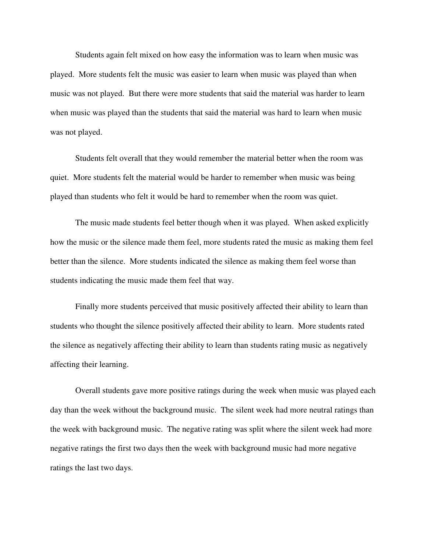Students again felt mixed on how easy the information was to learn when music was played. More students felt the music was easier to learn when music was played than when music was not played. But there were more students that said the material was harder to learn when music was played than the students that said the material was hard to learn when music was not played.

Students felt overall that they would remember the material better when the room was quiet. More students felt the material would be harder to remember when music was being played than students who felt it would be hard to remember when the room was quiet.

The music made students feel better though when it was played. When asked explicitly how the music or the silence made them feel, more students rated the music as making them feel better than the silence. More students indicated the silence as making them feel worse than students indicating the music made them feel that way.

Finally more students perceived that music positively affected their ability to learn than students who thought the silence positively affected their ability to learn. More students rated the silence as negatively affecting their ability to learn than students rating music as negatively affecting their learning.

Overall students gave more positive ratings during the week when music was played each day than the week without the background music. The silent week had more neutral ratings than the week with background music. The negative rating was split where the silent week had more negative ratings the first two days then the week with background music had more negative ratings the last two days.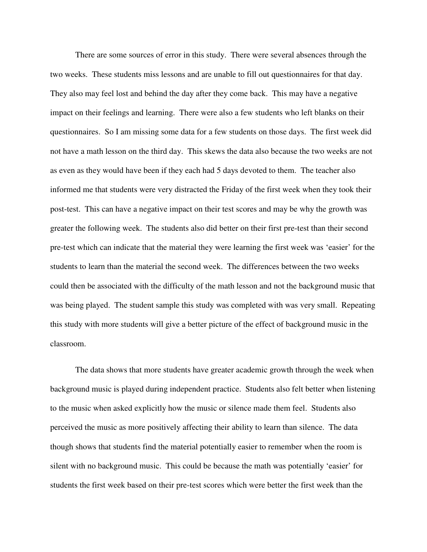There are some sources of error in this study. There were several absences through the two weeks. These students miss lessons and are unable to fill out questionnaires for that day. They also may feel lost and behind the day after they come back. This may have a negative impact on their feelings and learning. There were also a few students who left blanks on their questionnaires. So I am missing some data for a few students on those days. The first week did not have a math lesson on the third day. This skews the data also because the two weeks are not as even as they would have been if they each had 5 days devoted to them. The teacher also informed me that students were very distracted the Friday of the first week when they took their post-test. This can have a negative impact on their test scores and may be why the growth was greater the following week. The students also did better on their first pre-test than their second pre-test which can indicate that the material they were learning the first week was 'easier' for the students to learn than the material the second week. The differences between the two weeks could then be associated with the difficulty of the math lesson and not the background music that was being played. The student sample this study was completed with was very small. Repeating this study with more students will give a better picture of the effect of background music in the classroom.

The data shows that more students have greater academic growth through the week when background music is played during independent practice. Students also felt better when listening to the music when asked explicitly how the music or silence made them feel. Students also perceived the music as more positively affecting their ability to learn than silence. The data though shows that students find the material potentially easier to remember when the room is silent with no background music. This could be because the math was potentially 'easier' for students the first week based on their pre-test scores which were better the first week than the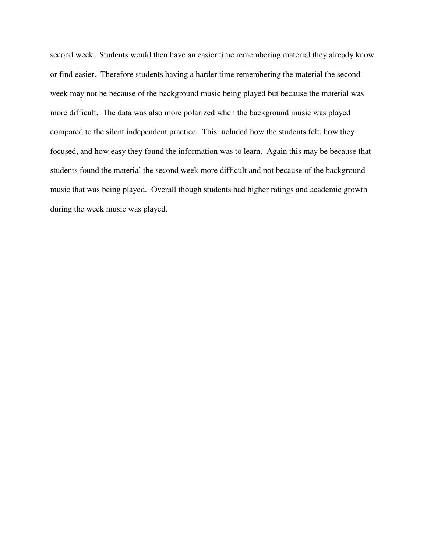second week. Students would then have an easier time remembering material they already know or find easier. Therefore students having a harder time remembering the material the second week may not be because of the background music being played but because the material was more difficult. The data was also more polarized when the background music was played compared to the silent independent practice. This included how the students felt, how they focused, and how easy they found the information was to learn. Again this may be because that students found the material the second week more difficult and not because of the background music that was being played. Overall though students had higher ratings and academic growth during the week music was played.